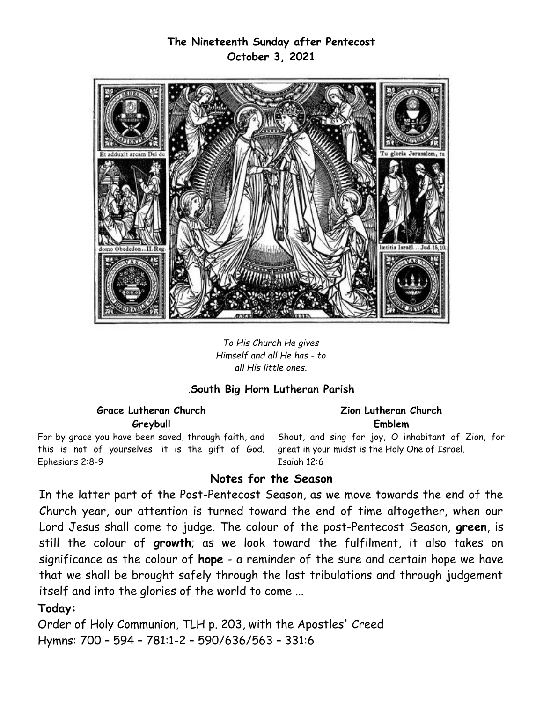# **The Nineteenth Sunday after Pentecost October 3, 2021**



*To His Church He gives Himself and all He has - to all His little ones.*

### *.***South Big Horn Lutheran Parish**

### **Grace Lutheran Church Greybull**

For by grace you have been saved, through faith, and this is not of yourselves, it is the gift of God. Ephesians 2:8-9

#### **Zion Lutheran Church Emblem**

Shout, and sing for joy, O inhabitant of Zion, for great in your midst is the Holy One of Israel. Isaiah 12:6

### **Notes for the Season**

In the latter part of the Post-Pentecost Season, as we move towards the end of the Church year, our attention is turned toward the end of time altogether, when our Lord Jesus shall come to judge. The colour of the post-Pentecost Season, **green**, is still the colour of **growth**; as we look toward the fulfilment, it also takes on significance as the colour of **hope** - a reminder of the sure and certain hope we have that we shall be brought safely through the last tribulations and through judgement itself and into the glories of the world to come ...

### **Today:**

Order of Holy Communion, TLH p. 203, with the Apostles' Creed Hymns: 700 – 594 – 781:1-2 – 590/636/563 – 331:6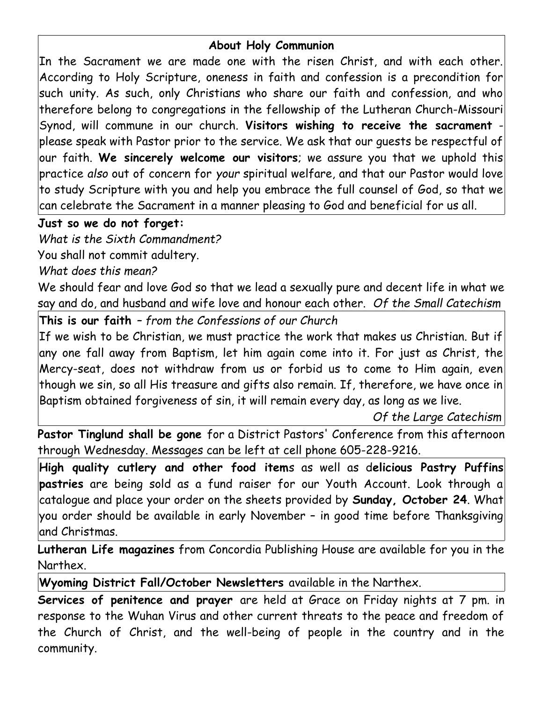# **About Holy Communion**

In the Sacrament we are made one with the risen Christ, and with each other. According to Holy Scripture, oneness in faith and confession is a precondition for such unity. As such, only Christians who share our faith and confession, and who therefore belong to congregations in the fellowship of the Lutheran Church-Missouri Synod, will commune in our church. **Visitors wishing to receive the sacrament** please speak with Pastor prior to the service. We ask that our guests be respectful of our faith. **We sincerely welcome our visitors**; we assure you that we uphold this practice *also* out of concern for *your* spiritual welfare, and that our Pastor would love to study Scripture with you and help you embrace the full counsel of God, so that we can celebrate the Sacrament in a manner pleasing to God and beneficial for us all.

# **Just so we do not forget:**

*What is the Sixth Commandment?*

You shall not commit adultery.

*What does this mean?*

We should fear and love God so that we lead a sexually pure and decent life in what we say and do, and husband and wife love and honour each other. *Of the Small Catechism*

**This is our faith** *– from the Confessions of our Church*

If we wish to be Christian, we must practice the work that makes us Christian. But if any one fall away from Baptism, let him again come into it. For just as Christ, the Mercy-seat, does not withdraw from us or forbid us to come to Him again, even though we sin, so all His treasure and gifts also remain. If, therefore, we have once in Baptism obtained forgiveness of sin, it will remain every day, as long as we live.

*Of the Large Catechism*

**Pastor Tinglund shall be gone** for a District Pastors' Conference from this afternoon through Wednesday. Messages can be left at cell phone 605-228-9216.

**High quality cutlery and other food item**s as well as d**elicious Pastry Puffins pastries** are being sold as a fund raiser for our Youth Account. Look through a catalogue and place your order on the sheets provided by **Sunday, October 24**. What you order should be available in early November – in good time before Thanksgiving and Christmas.

**Lutheran Life magazines** from Concordia Publishing House are available for you in the Narthex.

**Wyoming District Fall/October Newsletters** available in the Narthex.

**Services of penitence and prayer** are held at Grace on Friday nights at 7 pm. in response to the Wuhan Virus and other current threats to the peace and freedom of the Church of Christ, and the well-being of people in the country and in the community.